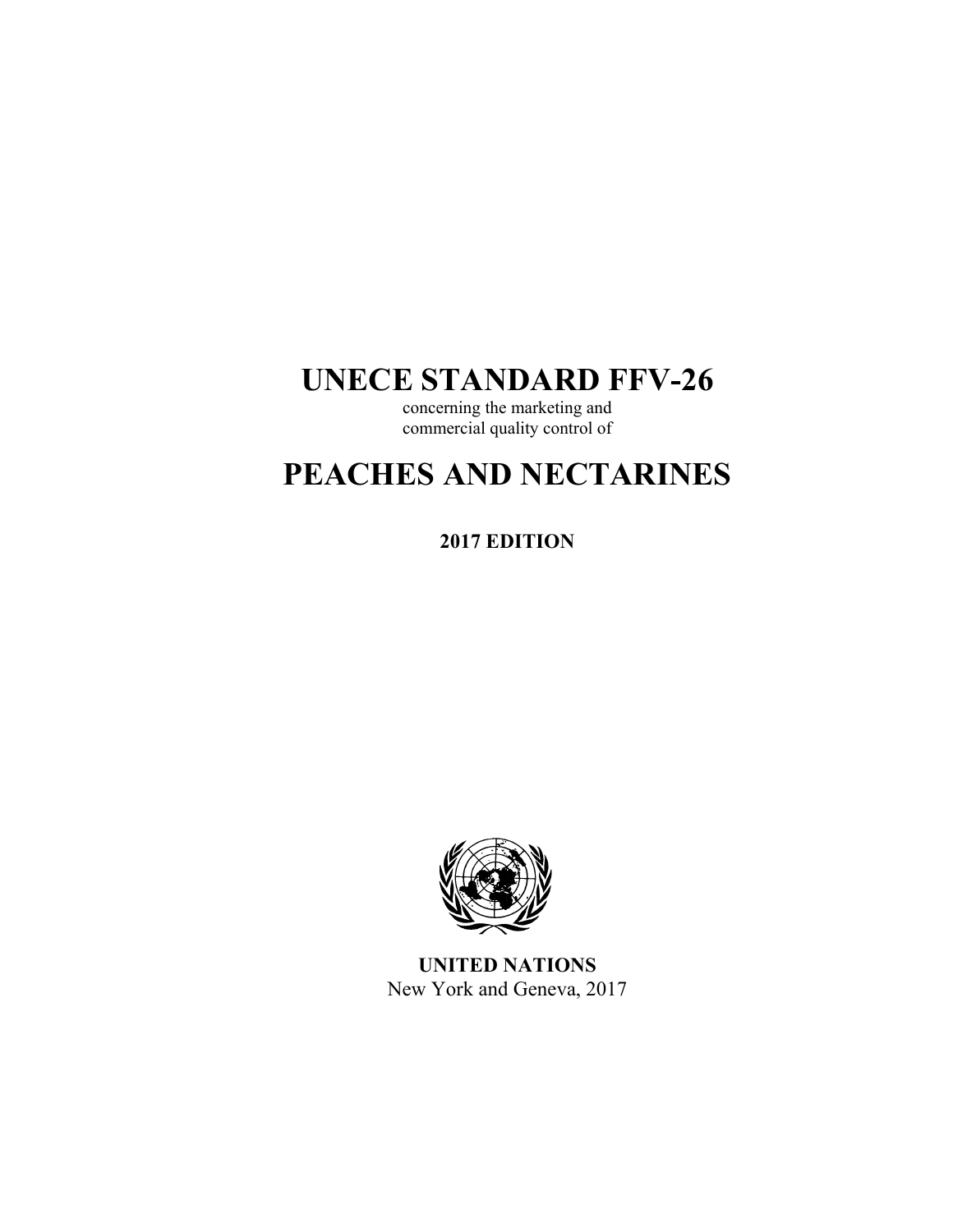# **UNECE STANDARD FFV-26**

concerning the marketing and commercial quality control of

# **PEACHES AND NECTARINES**

**2017 EDITION** 



**UNITED NATIONS**  New York and Geneva, 2017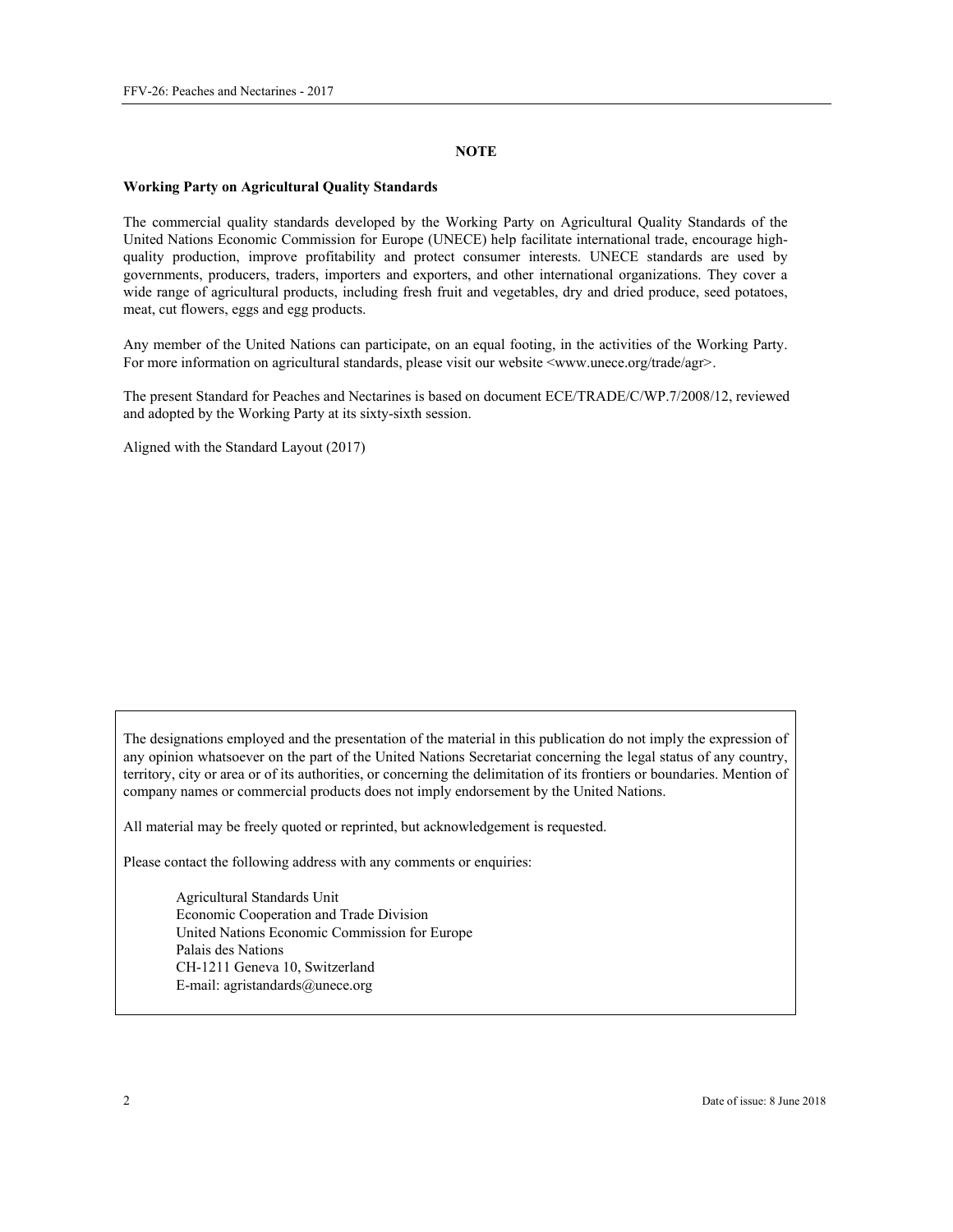#### **NOTE**

#### **Working Party on Agricultural Quality Standards**

The commercial quality standards developed by the Working Party on Agricultural Quality Standards of the United Nations Economic Commission for Europe (UNECE) help facilitate international trade, encourage highquality production, improve profitability and protect consumer interests. UNECE standards are used by governments, producers, traders, importers and exporters, and other international organizations. They cover a wide range of agricultural products, including fresh fruit and vegetables, dry and dried produce, seed potatoes, meat, cut flowers, eggs and egg products.

Any member of the United Nations can participate, on an equal footing, in the activities of the Working Party. For more information on agricultural standards, please visit our website <www.unece.org/trade/agr>.

The present Standard for Peaches and Nectarines is based on document ECE/TRADE/C/WP.7/2008/12, reviewed and adopted by the Working Party at its sixty-sixth session.

Aligned with the Standard Layout (2017)

The designations employed and the presentation of the material in this publication do not imply the expression of any opinion whatsoever on the part of the United Nations Secretariat concerning the legal status of any country, territory, city or area or of its authorities, or concerning the delimitation of its frontiers or boundaries. Mention of company names or commercial products does not imply endorsement by the United Nations.

All material may be freely quoted or reprinted, but acknowledgement is requested.

Please contact the following address with any comments or enquiries:

Agricultural Standards Unit Economic Cooperation and Trade Division United Nations Economic Commission for Europe Palais des Nations CH-1211 Geneva 10, Switzerland E-mail: agristandards@unece.org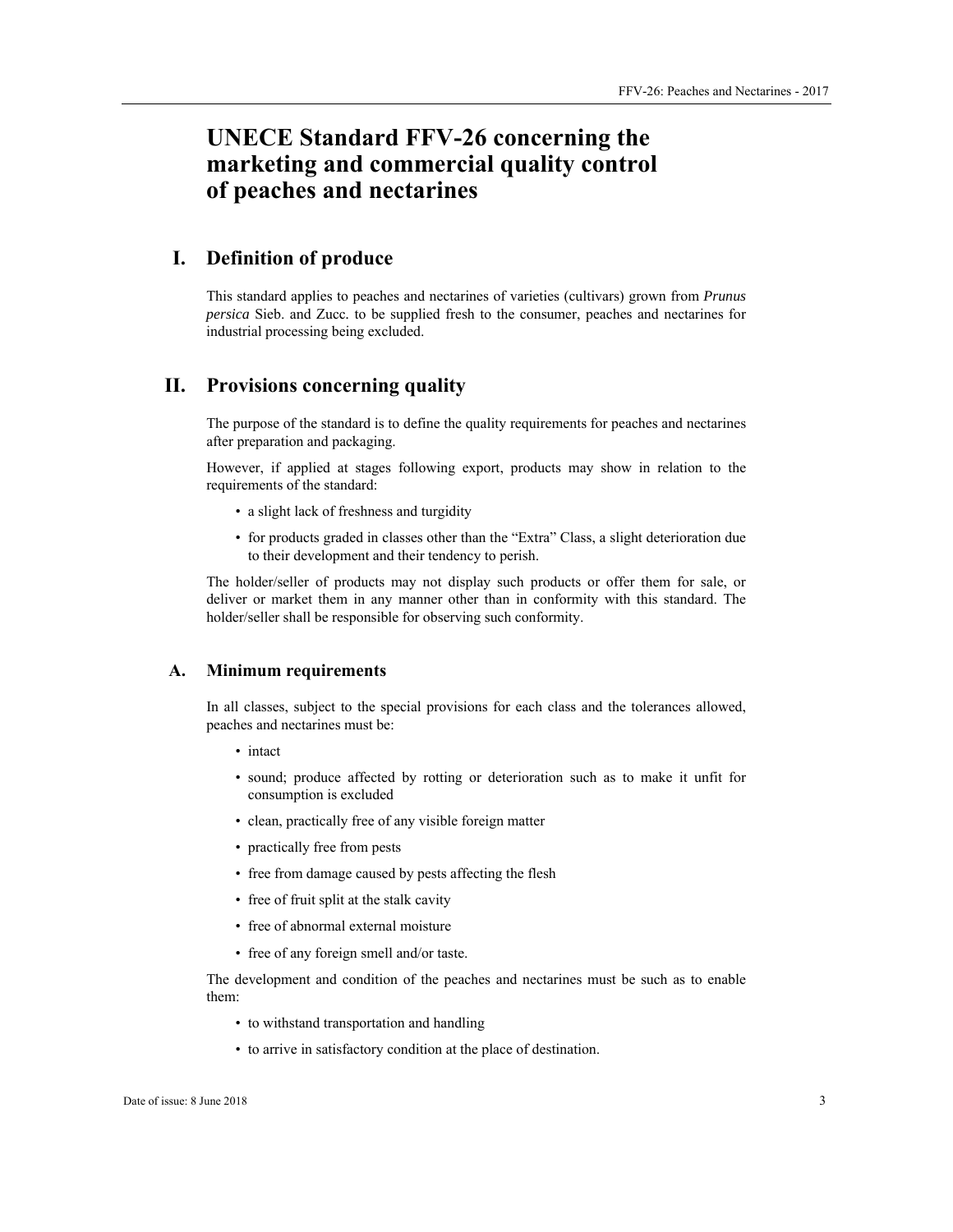# **UNECE Standard FFV-26 concerning the marketing and commercial quality control of peaches and nectarines**

# **I. Definition of produce**

This standard applies to peaches and nectarines of varieties (cultivars) grown from *Prunus persica* Sieb. and Zucc*.* to be supplied fresh to the consumer, peaches and nectarines for industrial processing being excluded.

# **II. Provisions concerning quality**

The purpose of the standard is to define the quality requirements for peaches and nectarines after preparation and packaging.

However, if applied at stages following export, products may show in relation to the requirements of the standard:

- a slight lack of freshness and turgidity
- for products graded in classes other than the "Extra" Class, a slight deterioration due to their development and their tendency to perish.

The holder/seller of products may not display such products or offer them for sale, or deliver or market them in any manner other than in conformity with this standard. The holder/seller shall be responsible for observing such conformity.

#### **A. Minimum requirements**

In all classes, subject to the special provisions for each class and the tolerances allowed, peaches and nectarines must be:

- intact
- sound; produce affected by rotting or deterioration such as to make it unfit for consumption is excluded
- clean, practically free of any visible foreign matter
- practically free from pests
- free from damage caused by pests affecting the flesh
- free of fruit split at the stalk cavity
- free of abnormal external moisture
- free of any foreign smell and/or taste.

The development and condition of the peaches and nectarines must be such as to enable them:

- to withstand transportation and handling
- to arrive in satisfactory condition at the place of destination.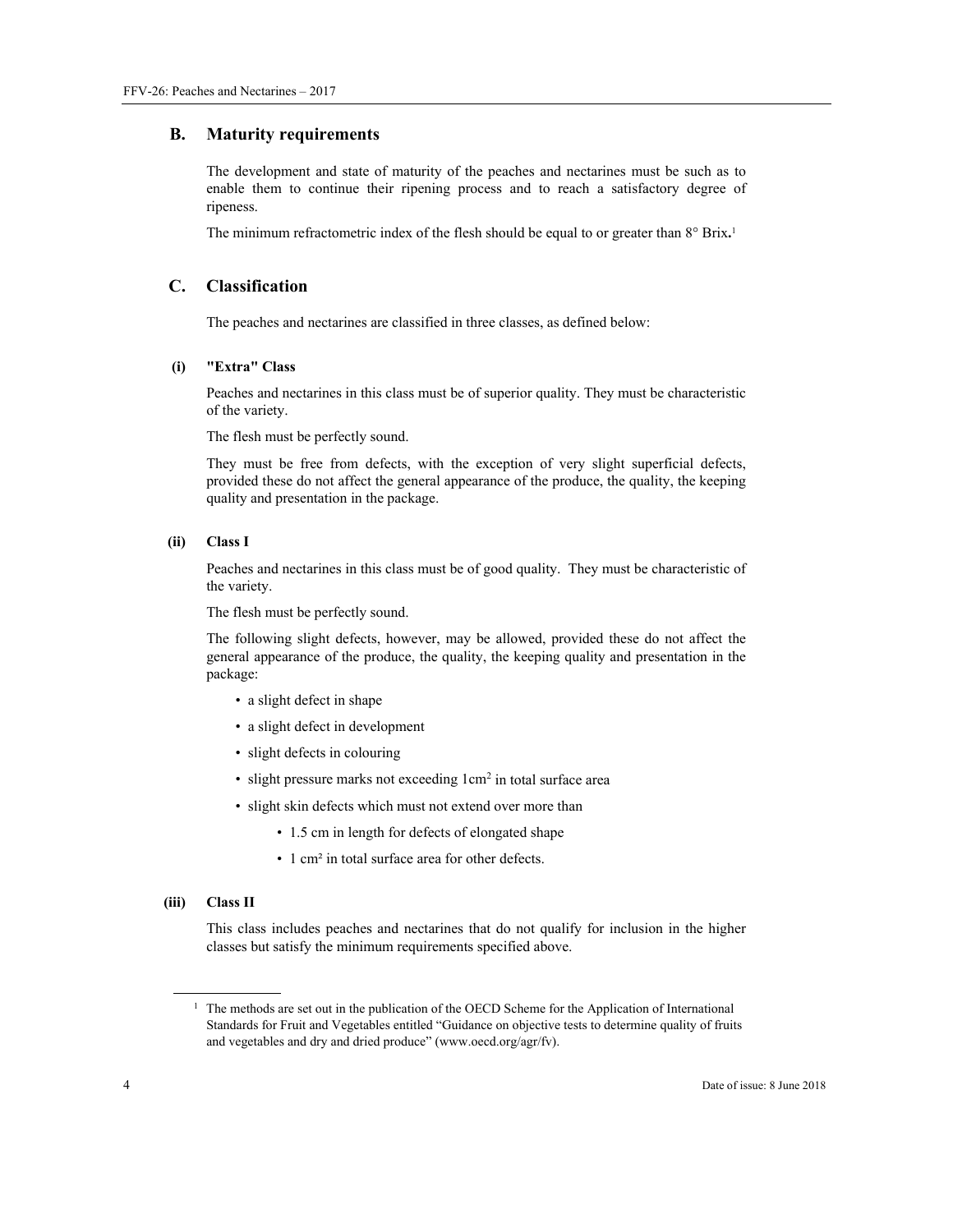#### **B. Maturity requirements**

The development and state of maturity of the peaches and nectarines must be such as to enable them to continue their ripening process and to reach a satisfactory degree of ripeness.

The minimum refractometric index of the flesh should be equal to or greater than 8° Brix**.** 1

# **C. Classification**

The peaches and nectarines are classified in three classes, as defined below:

#### **(i) "Extra" Class**

Peaches and nectarines in this class must be of superior quality. They must be characteristic of the variety.

The flesh must be perfectly sound.

They must be free from defects, with the exception of very slight superficial defects, provided these do not affect the general appearance of the produce, the quality, the keeping quality and presentation in the package.

#### **(ii) Class I**

Peaches and nectarines in this class must be of good quality. They must be characteristic of the variety.

The flesh must be perfectly sound.

The following slight defects, however, may be allowed, provided these do not affect the general appearance of the produce, the quality, the keeping quality and presentation in the package:

- a slight defect in shape
- a slight defect in development
- slight defects in colouring
- slight pressure marks not exceeding  $1 \text{cm}^2$  in total surface area
- slight skin defects which must not extend over more than
	- 1.5 cm in length for defects of elongated shape
	- 1 cm<sup>2</sup> in total surface area for other defects.

#### **(iii) Class II**

 $\overline{a}$ 

This class includes peaches and nectarines that do not qualify for inclusion in the higher classes but satisfy the minimum requirements specified above.

<sup>&</sup>lt;sup>1</sup> The methods are set out in the publication of the OECD Scheme for the Application of International Standards for Fruit and Vegetables entitled "Guidance on objective tests to determine quality of fruits and vegetables and dry and dried produce" (www.oecd.org/agr/fv).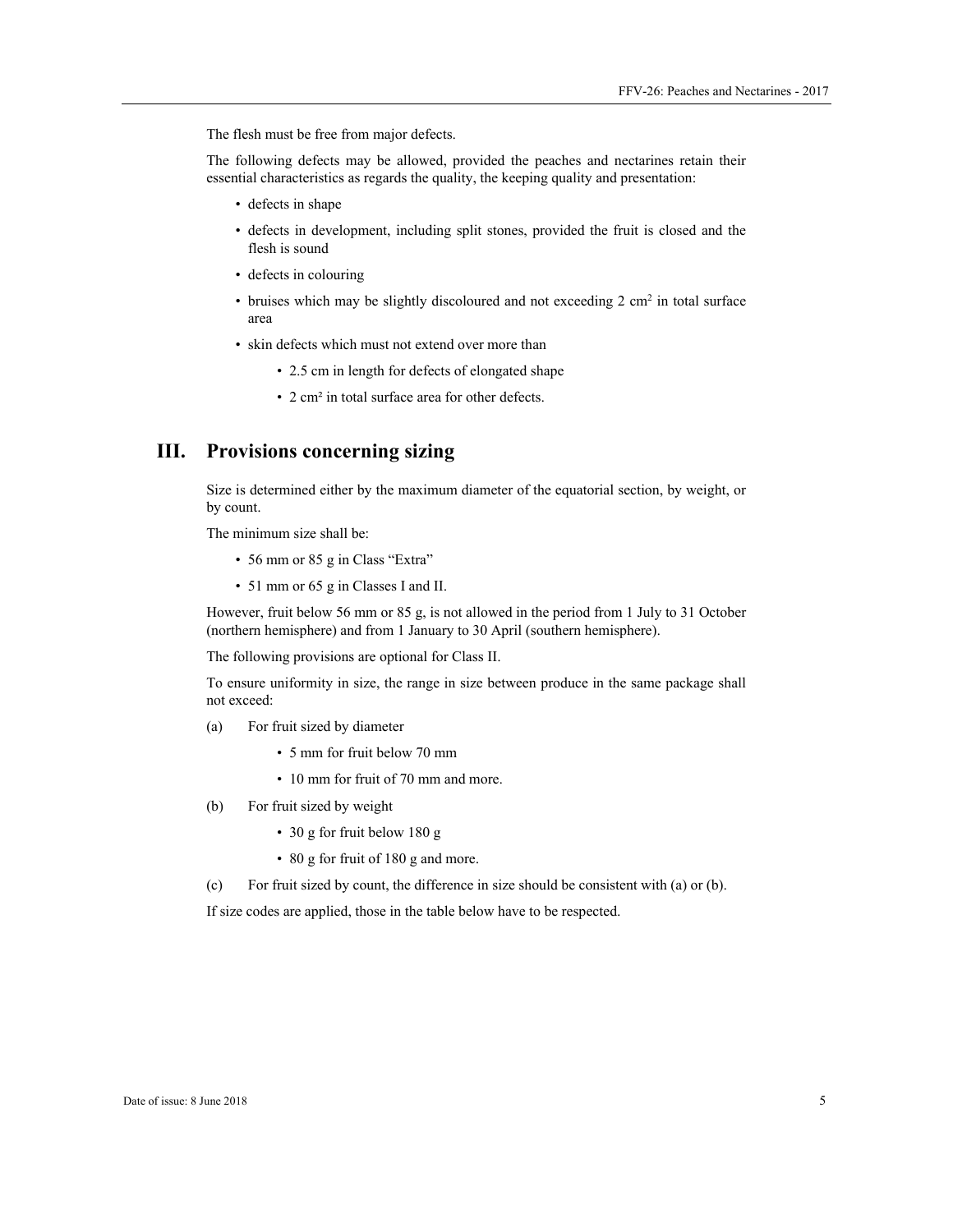The flesh must be free from major defects.

The following defects may be allowed, provided the peaches and nectarines retain their essential characteristics as regards the quality, the keeping quality and presentation:

- defects in shape
- defects in development, including split stones, provided the fruit is closed and the flesh is sound
- defects in colouring
- bruises which may be slightly discoloured and not exceeding  $2 \text{ cm}^2$  in total surface area
- skin defects which must not extend over more than
	- 2.5 cm in length for defects of elongated shape
	- 2 cm² in total surface area for other defects.

# **III. Provisions concerning sizing**

Size is determined either by the maximum diameter of the equatorial section, by weight, or by count.

The minimum size shall be:

- 56 mm or 85 g in Class "Extra"
- 51 mm or 65 g in Classes I and II.

However, fruit below 56 mm or 85 g, is not allowed in the period from 1 July to 31 October (northern hemisphere) and from 1 January to 30 April (southern hemisphere).

The following provisions are optional for Class II.

To ensure uniformity in size, the range in size between produce in the same package shall not exceed:

- (a) For fruit sized by diameter
	- 5 mm for fruit below 70 mm
	- 10 mm for fruit of 70 mm and more.
- (b) For fruit sized by weight
	- 30 g for fruit below 180 g
	- 80 g for fruit of 180 g and more.
- (c) For fruit sized by count, the difference in size should be consistent with (a) or (b).

If size codes are applied, those in the table below have to be respected.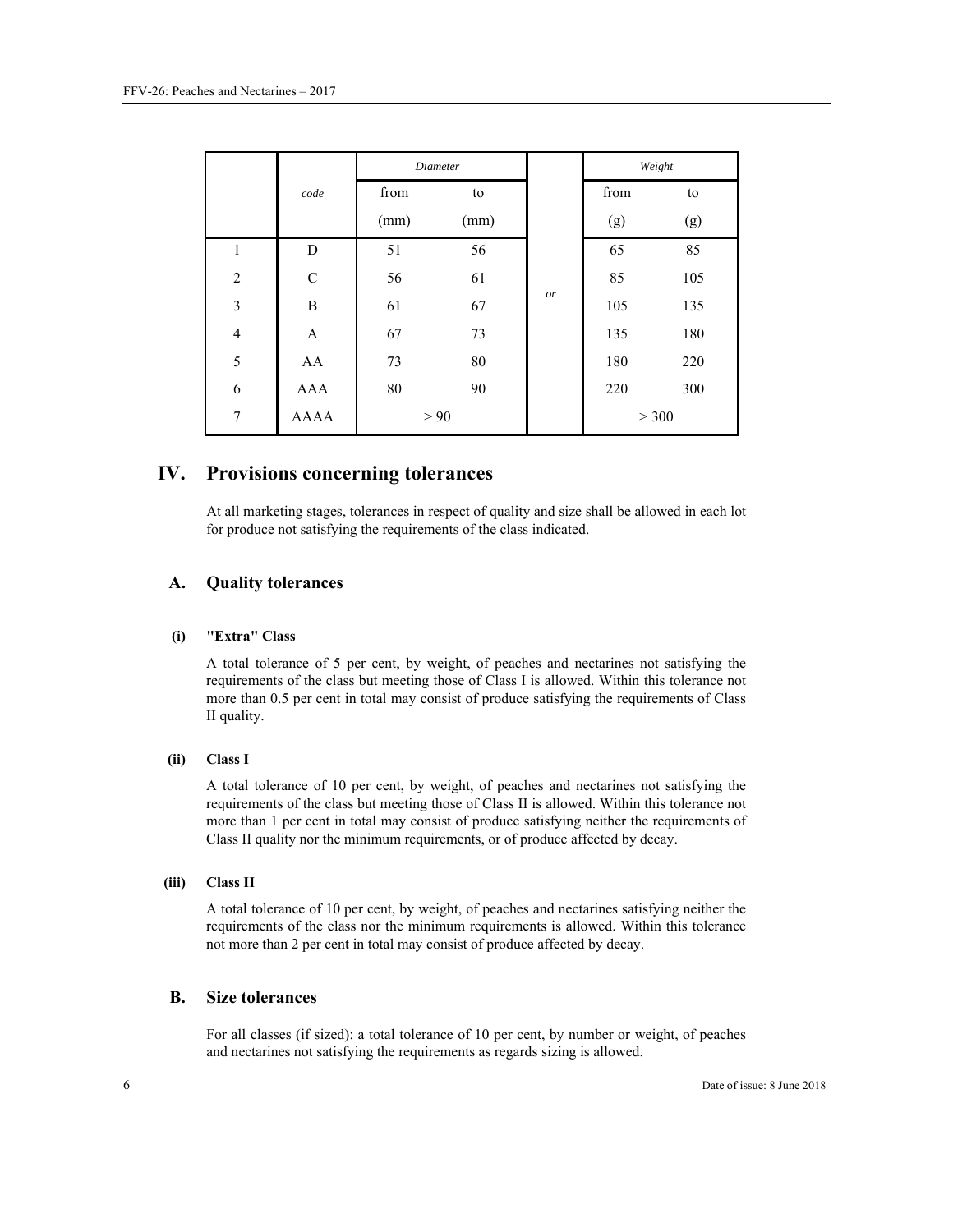|                |             | <b>Diameter</b> |      |    | Weight |     |
|----------------|-------------|-----------------|------|----|--------|-----|
|                | code        | from            | to   |    | from   | to  |
|                |             | (mm)            | (mm) |    | (g)    | (g) |
| $\mathbf{1}$   | D           | 51              | 56   | or | 65     | 85  |
| $\overline{2}$ | $\mathbf C$ | 56              | 61   |    | 85     | 105 |
| $\overline{3}$ | B           | 61              | 67   |    | 105    | 135 |
| $\overline{4}$ | A           | 67              | 73   |    | 135    | 180 |
| 5              | AA          | 73              | 80   |    | 180    | 220 |
| 6              | AAA         | 80              | 90   |    | 220    | 300 |
| 7              | <b>AAAA</b> | > 90            |      |    | > 300  |     |

# **IV. Provisions concerning tolerances**

At all marketing stages, tolerances in respect of quality and size shall be allowed in each lot for produce not satisfying the requirements of the class indicated.

### **A. Quality tolerances**

#### **(i) "Extra" Class**

A total tolerance of 5 per cent, by weight, of peaches and nectarines not satisfying the requirements of the class but meeting those of Class I is allowed. Within this tolerance not more than 0.5 per cent in total may consist of produce satisfying the requirements of Class II quality.

#### **(ii) Class I**

A total tolerance of 10 per cent, by weight, of peaches and nectarines not satisfying the requirements of the class but meeting those of Class II is allowed. Within this tolerance not more than 1 per cent in total may consist of produce satisfying neither the requirements of Class II quality nor the minimum requirements, or of produce affected by decay.

#### **(iii) Class II**

A total tolerance of 10 per cent, by weight, of peaches and nectarines satisfying neither the requirements of the class nor the minimum requirements is allowed. Within this tolerance not more than 2 per cent in total may consist of produce affected by decay.

#### **B. Size tolerances**

For all classes (if sized): a total tolerance of 10 per cent, by number or weight, of peaches and nectarines not satisfying the requirements as regards sizing is allowed.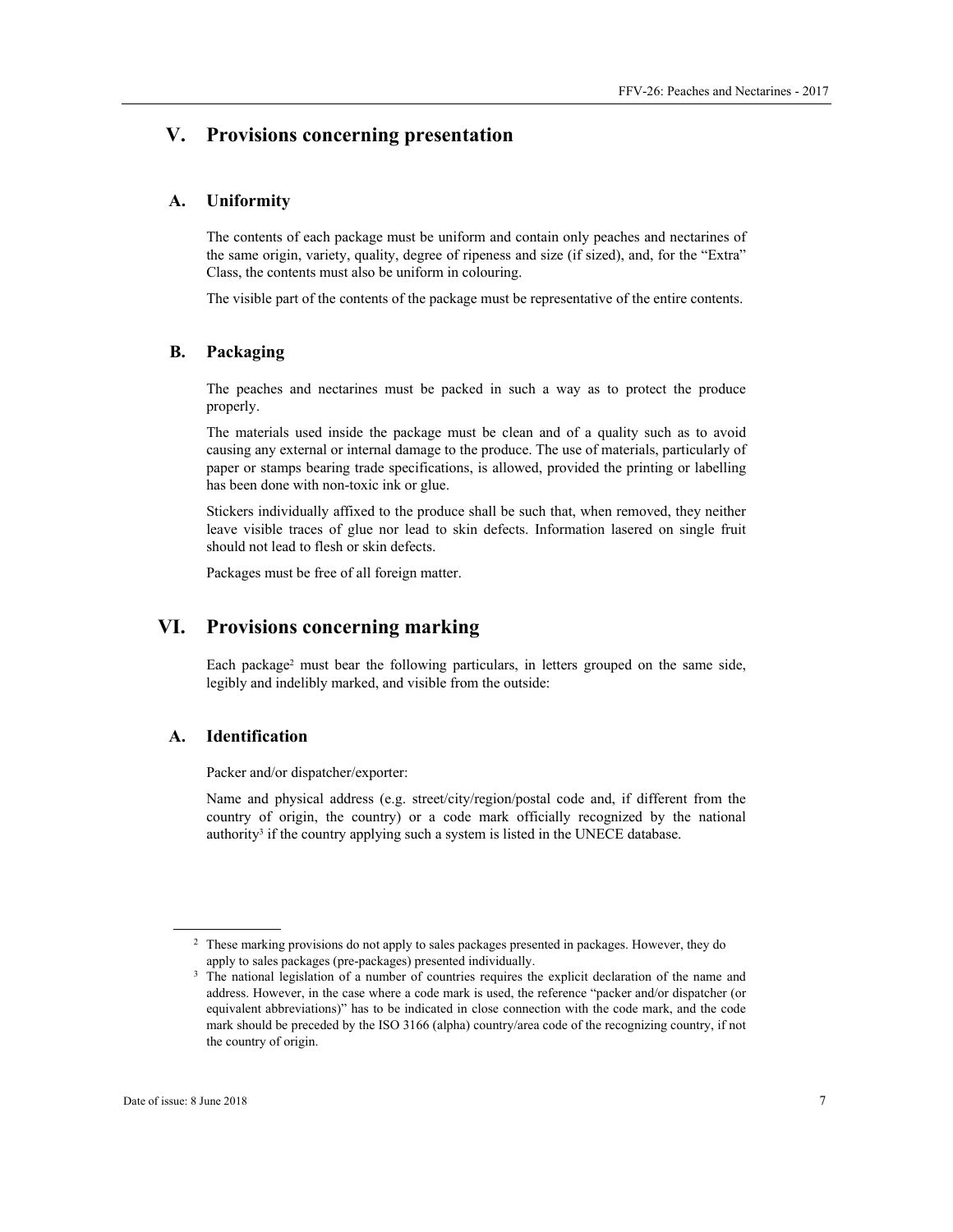# **V. Provisions concerning presentation**

#### **A. Uniformity**

The contents of each package must be uniform and contain only peaches and nectarines of the same origin, variety, quality, degree of ripeness and size (if sized), and, for the "Extra" Class, the contents must also be uniform in colouring.

The visible part of the contents of the package must be representative of the entire contents.

#### **B. Packaging**

The peaches and nectarines must be packed in such a way as to protect the produce properly.

The materials used inside the package must be clean and of a quality such as to avoid causing any external or internal damage to the produce. The use of materials, particularly of paper or stamps bearing trade specifications, is allowed, provided the printing or labelling has been done with non-toxic ink or glue.

Stickers individually affixed to the produce shall be such that, when removed, they neither leave visible traces of glue nor lead to skin defects. Information lasered on single fruit should not lead to flesh or skin defects.

Packages must be free of all foreign matter.

# **VI. Provisions concerning marking**

Each package<sup>2</sup> must bear the following particulars, in letters grouped on the same side, legibly and indelibly marked, and visible from the outside:

# **A. Identification**

Packer and/or dispatcher/exporter:

Name and physical address (e.g. street/city/region/postal code and, if different from the country of origin, the country) or a code mark officially recognized by the national authority<sup>3</sup> if the country applying such a system is listed in the UNECE database.

 $\overline{a}$ 

<sup>&</sup>lt;sup>2</sup> These marking provisions do not apply to sales packages presented in packages. However, they do apply to sales packages (pre-packages) presented individually.<br><sup>3</sup> The national legislation of a number of countries requires the explicit declaration of the name and

address. However, in the case where a code mark is used, the reference "packer and/or dispatcher (or equivalent abbreviations)" has to be indicated in close connection with the code mark, and the code mark should be preceded by the ISO 3166 (alpha) country/area code of the recognizing country, if not the country of origin.